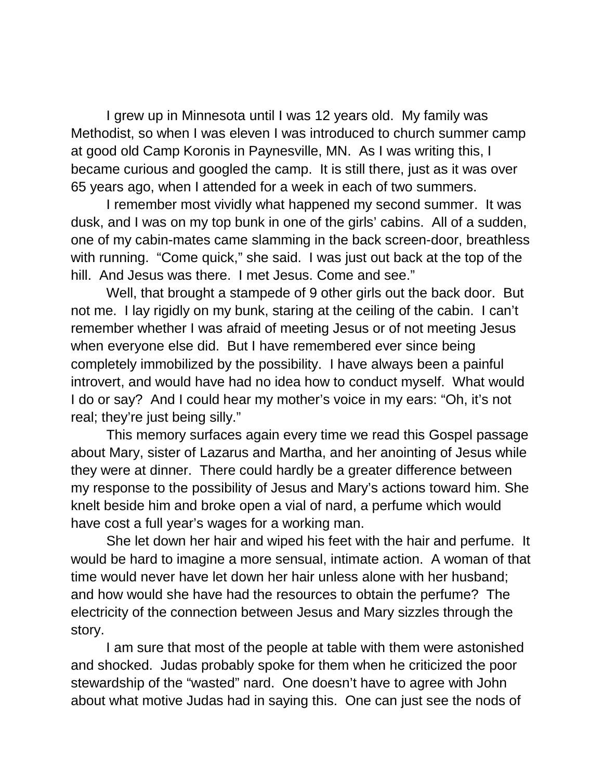I grew up in Minnesota until I was 12 years old. My family was Methodist, so when I was eleven I was introduced to church summer camp at good old Camp Koronis in Paynesville, MN. As I was writing this, I became curious and googled the camp. It is still there, just as it was over 65 years ago, when I attended for a week in each of two summers.

I remember most vividly what happened my second summer. It was dusk, and I was on my top bunk in one of the girls' cabins. All of a sudden, one of my cabin-mates came slamming in the back screen-door, breathless with running. "Come quick," she said. I was just out back at the top of the hill. And Jesus was there. I met Jesus. Come and see."

Well, that brought a stampede of 9 other girls out the back door. But not me. I lay rigidly on my bunk, staring at the ceiling of the cabin. I can't remember whether I was afraid of meeting Jesus or of not meeting Jesus when everyone else did. But I have remembered ever since being completely immobilized by the possibility. I have always been a painful introvert, and would have had no idea how to conduct myself. What would I do or say? And I could hear my mother's voice in my ears: "Oh, it's not real; they're just being silly."

This memory surfaces again every time we read this Gospel passage about Mary, sister of Lazarus and Martha, and her anointing of Jesus while they were at dinner. There could hardly be a greater difference between my response to the possibility of Jesus and Mary's actions toward him. She knelt beside him and broke open a vial of nard, a perfume which would have cost a full year's wages for a working man.

She let down her hair and wiped his feet with the hair and perfume. It would be hard to imagine a more sensual, intimate action. A woman of that time would never have let down her hair unless alone with her husband; and how would she have had the resources to obtain the perfume? The electricity of the connection between Jesus and Mary sizzles through the story.

I am sure that most of the people at table with them were astonished and shocked. Judas probably spoke for them when he criticized the poor stewardship of the "wasted" nard. One doesn't have to agree with John about what motive Judas had in saying this. One can just see the nods of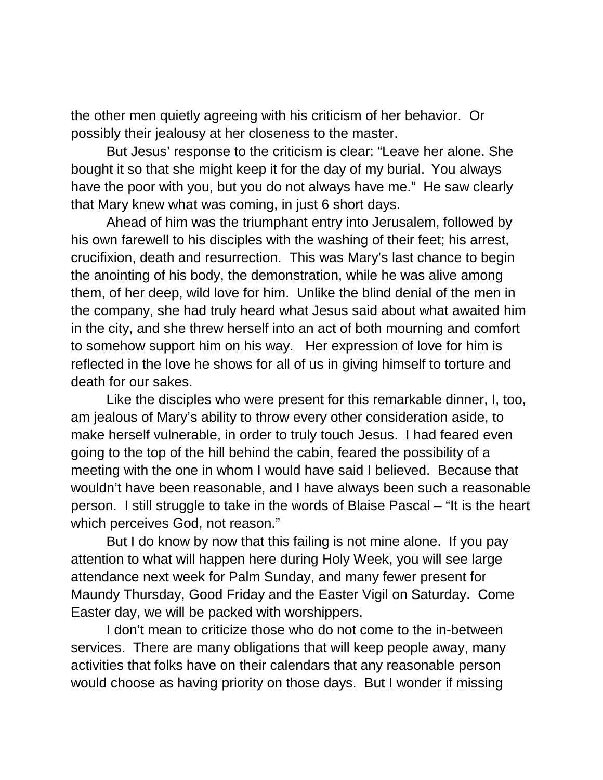the other men quietly agreeing with his criticism of her behavior. Or possibly their jealousy at her closeness to the master.

But Jesus' response to the criticism is clear: "Leave her alone. She bought it so that she might keep it for the day of my burial. You always have the poor with you, but you do not always have me." He saw clearly that Mary knew what was coming, in just 6 short days.

Ahead of him was the triumphant entry into Jerusalem, followed by his own farewell to his disciples with the washing of their feet; his arrest, crucifixion, death and resurrection. This was Mary's last chance to begin the anointing of his body, the demonstration, while he was alive among them, of her deep, wild love for him. Unlike the blind denial of the men in the company, she had truly heard what Jesus said about what awaited him in the city, and she threw herself into an act of both mourning and comfort to somehow support him on his way. Her expression of love for him is reflected in the love he shows for all of us in giving himself to torture and death for our sakes.

Like the disciples who were present for this remarkable dinner, I, too, am jealous of Mary's ability to throw every other consideration aside, to make herself vulnerable, in order to truly touch Jesus. I had feared even going to the top of the hill behind the cabin, feared the possibility of a meeting with the one in whom I would have said I believed. Because that wouldn't have been reasonable, and I have always been such a reasonable person. I still struggle to take in the words of Blaise Pascal – "It is the heart which perceives God, not reason."

But I do know by now that this failing is not mine alone. If you pay attention to what will happen here during Holy Week, you will see large attendance next week for Palm Sunday, and many fewer present for Maundy Thursday, Good Friday and the Easter Vigil on Saturday. Come Easter day, we will be packed with worshippers.

I don't mean to criticize those who do not come to the in-between services. There are many obligations that will keep people away, many activities that folks have on their calendars that any reasonable person would choose as having priority on those days. But I wonder if missing